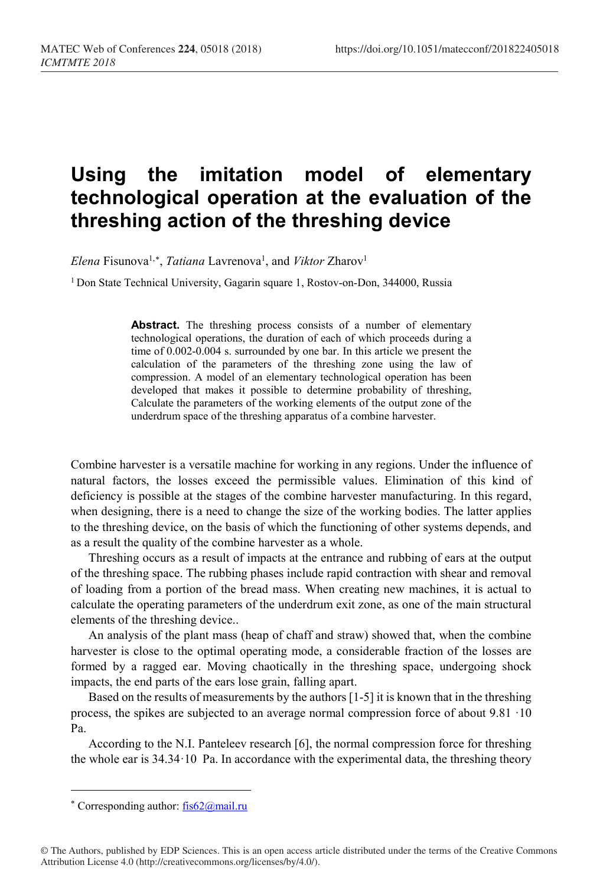## **Using the imitation model of elementary technological operation at the evaluation of the threshing action of the threshing device**

*Elena* Fisunova<sup>1,[∗](#page-0-0)</sup>, *Tatiana* Lavrenova<sup>1</sup>, and *Viktor* Zharov<sup>1</sup>

<sup>1</sup> Don State Technical University, Gagarin square 1, Rostov-on-Don, 344000, Russia

Abstract. The threshing process consists of a number of elementary technological operations, the duration of each of which proceeds during a time of 0.002-0.004 s. surrounded by one bar. In this article we present the calculation of the parameters of the threshing zone using the law of compression. A model of an elementary technological operation has been developed that makes it possible to determine probability of threshing, Calculate the parameters of the working elements of the output zone of the underdrum space of the threshing apparatus of a combine harvester.

Combine harvester is a versatile machine for working in any regions. Under the influence of natural factors, the losses exceed the permissible values. Elimination of this kind of deficiency is possible at the stages of the combine harvester manufacturing. In this regard, when designing, there is a need to change the size of the working bodies. The latter applies to the threshing device, on the basis of which the functioning of other systems depends, and as a result the quality of the combine harvester as a whole.

Threshing occurs as a result of impacts at the entrance and rubbing of ears at the output of the threshing space. The rubbing phases include rapid contraction with shear and removal of loading from a portion of the bread mass. When creating new machines, it is actual to calculate the operating parameters of the underdrum exit zone, as one of the main structural elements of the threshing device..

An analysis of the plant mass (heap of chaff and straw) showed that, when the combine harvester is close to the optimal operating mode, a considerable fraction of the losses are formed by a ragged ear. Moving chaotically in the threshing space, undergoing shock impacts, the end parts of the ears lose grain, falling apart.

Based on the results of measurements by the authors [1-5] it is known that in the threshing process, the spikes are subjected to an average normal compression force of about 9.81 ·10 Pa.

According to the N.I. Panteleev research [6], the normal compression force for threshing the whole ear is 34.34·10 Pa. In accordance with the experimental data, the threshing theory

l

<span id="page-0-0"></span><sup>∗</sup> Corresponding author[: fis62@mail.ru](mailto:fis62@mail.ru)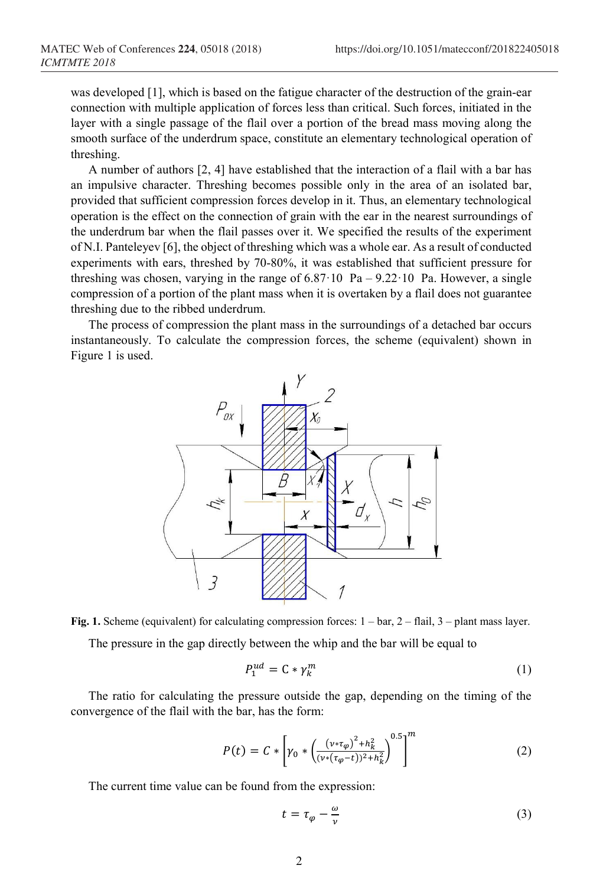was developed [1], which is based on the fatigue character of the destruction of the grain-ear connection with multiple application of forces less than critical. Such forces, initiated in the layer with a single passage of the flail over a portion of the bread mass moving along the smooth surface of the underdrum space, constitute an elementary technological operation of threshing.

A number of authors [2, 4] have established that the interaction of a flail with a bar has an impulsive character. Threshing becomes possible only in the area of an isolated bar, provided that sufficient compression forces develop in it. Thus, an elementary technological operation is the effect on the connection of grain with the ear in the nearest surroundings of the underdrum bar when the flail passes over it. We specified the results of the experiment of N.I. Panteleyev [6], the object of threshing which was a whole ear. As a result of conducted experiments with ears, threshed by 70-80%, it was established that sufficient pressure for threshing was chosen, varying in the range of  $6.87 \cdot 10$  Pa –  $9.22 \cdot 10$  Pa. However, a single compression of a portion of the plant mass when it is overtaken by a flail does not guarantee threshing due to the ribbed underdrum.

The process of compression the plant mass in the surroundings of a detached bar occurs instantaneously. To calculate the compression forces, the scheme (equivalent) shown in Figure 1 is used.





$$
P_1^{ud} = \mathsf{C} * \gamma_k^m \tag{1}
$$

The ratio for calculating the pressure outside the gap, depending on the timing of the convergence of the flail with the bar, has the form:

$$
P(t) = C * \left[ \gamma_0 * \left( \frac{(v * \tau_\varphi)^2 + h_k^2}{(v * (\tau_\varphi - t))^2 + h_k^2} \right)^{0.5} \right]^m
$$
 (2)

The current time value can be found from the expression:

$$
t = \tau_{\varphi} - \frac{\omega}{\nu} \tag{3}
$$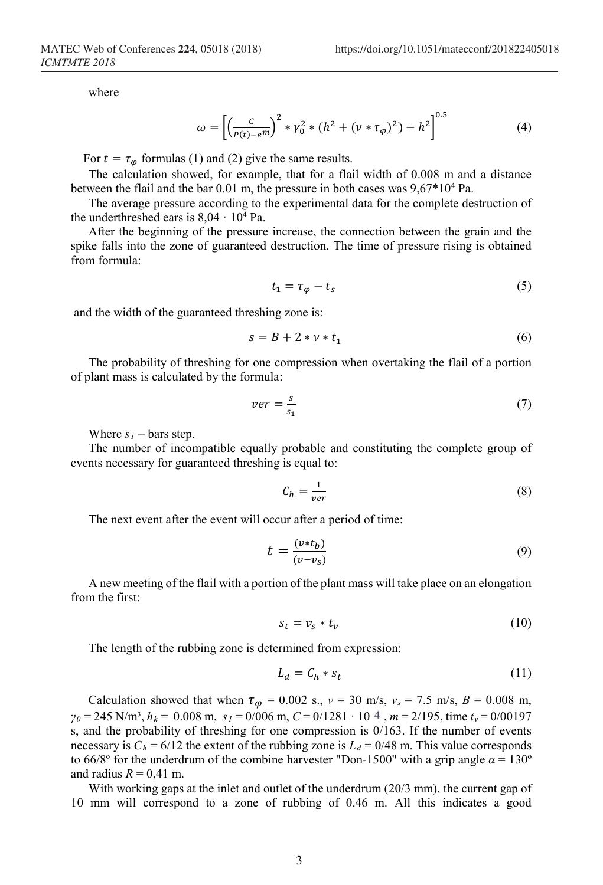where

$$
\omega = \left[ \left( \frac{c}{p(t) - e^m} \right)^2 * \gamma_0^2 * (h^2 + (\nu * \tau_\varphi)^2) - h^2 \right]^{0.5}
$$
(4)

For  $t = \tau_{\varphi}$  formulas (1) and (2) give the same results.

The calculation showed, for example, that for a flail width of 0.008 m and a distance between the flail and the bar  $0.01$  m, the pressure in both cases was  $9.67*10<sup>4</sup>$  Pa.

The average pressure according to the experimental data for the complete destruction of the underthreshed ears is  $8.04 \cdot 10^4$  Pa.

After the beginning of the pressure increase, the connection between the grain and the spike falls into the zone of guaranteed destruction. The time of pressure rising is obtained from formula:

$$
t_1 = \tau_{\varphi} - t_s \tag{5}
$$

and the width of the guaranteed threshing zone is:

$$
s = B + 2 * v * t_1 \tag{6}
$$

The probability of threshing for one compression when overtaking the flail of a portion of plant mass is calculated by the formula:

$$
ver = \frac{s}{s_1} \tag{7}
$$

Where  $s_1$  – bars step.

The number of incompatible equally probable and constituting the complete group of events necessary for guaranteed threshing is equal to:

$$
C_h = \frac{1}{ver} \tag{8}
$$

The next event after the event will occur after a period of time:

$$
t = \frac{(v * t_b)}{(v - v_s)}\tag{9}
$$

A new meeting of the flail with a portion of the plant mass will take place on an elongation from the first:

$$
s_t = v_s * t_v \tag{10}
$$

The length of the rubbing zone is determined from expression:

$$
L_d = C_h * s_t \tag{11}
$$

Calculation showed that when  $\tau_{\varphi} = 0.002$  s.,  $v = 30$  m/s,  $v_s = 7.5$  m/s,  $B = 0.008$  m, *γ<sup>0</sup>* = 245 N/m³, *hk* = 0.008 m, *s1* = 0/006 m, *С* = 0/1281 · 10 , *m* = 2/195, time *tv* = 0/00197 s, and the probability of threshing for one compression is  $0/163$ . If the number of events necessary is  $C_h = 6/12$  the extent of the rubbing zone is  $L_d = 0/48$  m. This value corresponds to 66/8° for the underdrum of the combine harvester "Don-1500" with a grip angle  $\alpha = 130^{\circ}$ and radius  $R = 0.41$  m.

With working gaps at the inlet and outlet of the underdrum (20/3 mm), the current gap of 10 mm will correspond to a zone of rubbing of 0.46 m. All this indicates a good